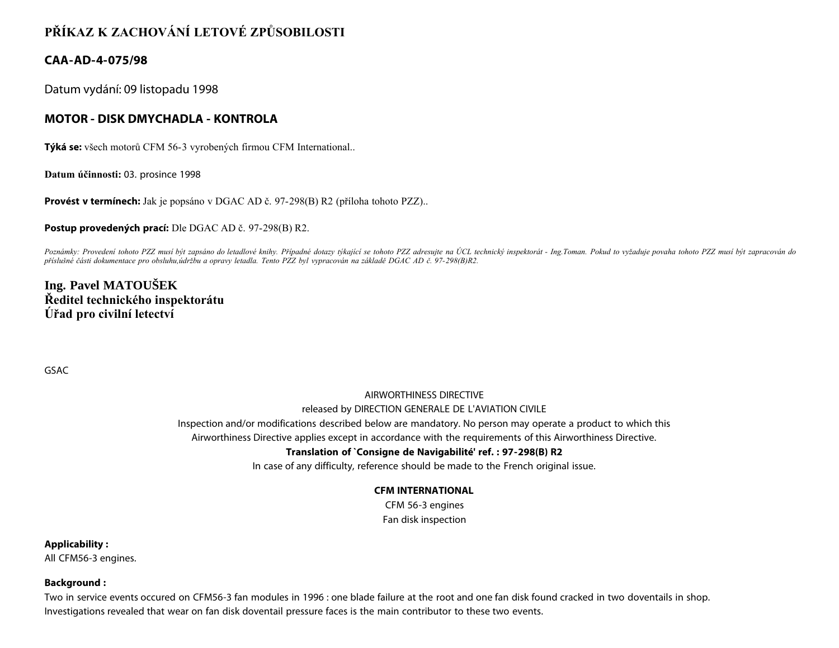# **PŘÍKAZ K ZACHOVÁNÍ LETOVÉ ZPŮSOBILOSTI**

# **CAA-AD-4-075/98**

Datum vydání: 09 listopadu 1998

# **MOTOR - DISK DMYCHADLA - KONTROLA**

**Týká se:** všech motorů CFM 56-3 vyrobených firmou CFM International..

**Datum účinnosti:** 03. prosince 1998

**Provést v termínech:** Jak je popsáno v DGAC AD č. 97-298(B) R2 (příloha tohoto PZZ)..

**Postup provedených prací:** Dle DGAC AD č. 97-298(B) R2.

*Poznámky: Provedení tohoto PZZ musí být zapsáno do letadlové knihy. Případné dotazy týkající se tohoto PZZ adresujte na ÚCL technický inspektorát - Ing.Toman. Pokud to vyžaduje povaha tohoto PZZ musí být zapracován do příslušné části dokumentace pro obsluhu,údržbu a opravy letadla. Tento PZZ byl vypracován na základě DGAC AD č. 97-298(B)R2.*

# **Ing. Pavel MATOUŠEK Ředitel technického inspektorátu Úřad pro civilní letectví**

GSAC

## AIRWORTHINESS DIRECTIVE released by DIRECTION GENERALE DE L'AVIATION CIVILE Inspection and/or modifications described below are mandatory. No person may operate a product to which this

Airworthiness Directive applies except in accordance with the requirements of this Airworthiness Directive.

### **Translation of `Consigne de Navigabilité' ref. : 97-298(B) R2**

In case of any difficulty, reference should be made to the French original issue.

### **CFM INTERNATIONAL**

CFM 56-3 engines Fan disk inspection

**Applicability :**

All CFM56-3 engines.

**Background :**

Two in service events occured on CFM56-3 fan modules in 1996 : one blade failure at the root and one fan disk found cracked in two doventails in shop. Investigations revealed that wear on fan disk doventail pressure faces is the main contributor to these two events.